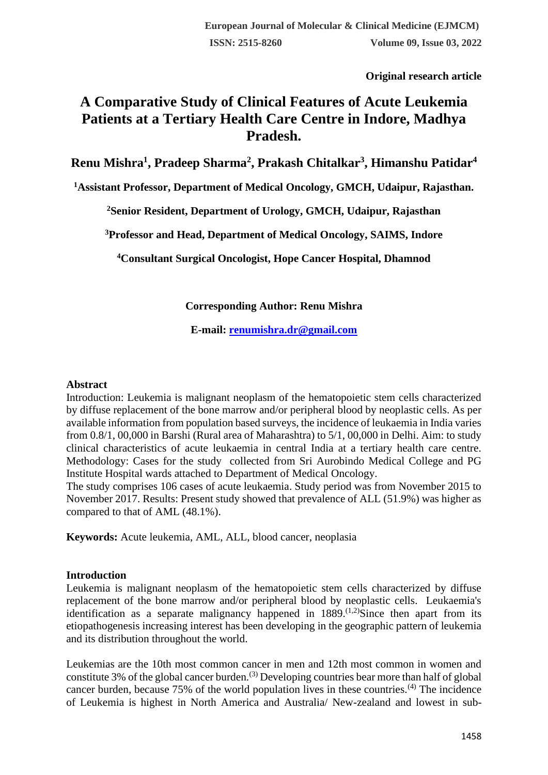**Original research article** 

# **A Comparative Study of Clinical Features of Acute Leukemia Patients at a Tertiary Health Care Centre in Indore, Madhya Pradesh.**

**Renu Mishra<sup>1</sup> , Pradeep Sharma<sup>2</sup> , Prakash Chitalkar<sup>3</sup> , Himanshu Patidar<sup>4</sup>**

**<sup>1</sup>Assistant Professor, Department of Medical Oncology, GMCH, Udaipur, Rajasthan.**

**<sup>2</sup>Senior Resident, Department of Urology, GMCH, Udaipur, Rajasthan**

**<sup>3</sup>Professor and Head, Department of Medical Oncology, SAIMS, Indore**

**<sup>4</sup>Consultant Surgical Oncologist, Hope Cancer Hospital, Dhamnod**

**Corresponding Author: Renu Mishra**

**E-mail: [renumishra.dr@gmail.com](mailto:renumishra.dr@gmail.com)**

## **Abstract**

Introduction: Leukemia is malignant neoplasm of the hematopoietic stem cells characterized by diffuse replacement of the bone marrow and/or peripheral blood by neoplastic cells. As per available information from population based surveys, the incidence of leukaemia in India varies from 0.8/1, 00,000 in Barshi (Rural area of Maharashtra) to 5/1, 00,000 in Delhi. Aim: to study clinical characteristics of acute leukaemia in central India at a tertiary health care centre. Methodology: Cases for the study collected from Sri Aurobindo Medical College and PG Institute Hospital wards attached to Department of Medical Oncology.

The study comprises 106 cases of acute leukaemia. Study period was from November 2015 to November 2017. Results: Present study showed that prevalence of ALL (51.9%) was higher as compared to that of AML (48.1%).

**Keywords:** Acute leukemia, AML, ALL, blood cancer, neoplasia

## **Introduction**

Leukemia is malignant neoplasm of the hematopoietic stem cells characterized by diffuse replacement of the bone marrow and/or peripheral blood by neoplastic cells. Leukaemia's identification as a separate malignancy happened in  $1889$ .<sup>(1,2)</sup>Since then apart from its etiopathogenesis increasing interest has been developing in the geographic pattern of leukemia and its distribution throughout the world.

Leukemias are the 10th most common cancer in men and 12th most common in women and constitute 3% of the global cancer burden.<sup>(3)</sup> Developing countries bear more than half of global cancer burden, because 75% of the world population lives in these countries.(4) The incidence of Leukemia is highest in North America and Australia/ New-zealand and lowest in sub-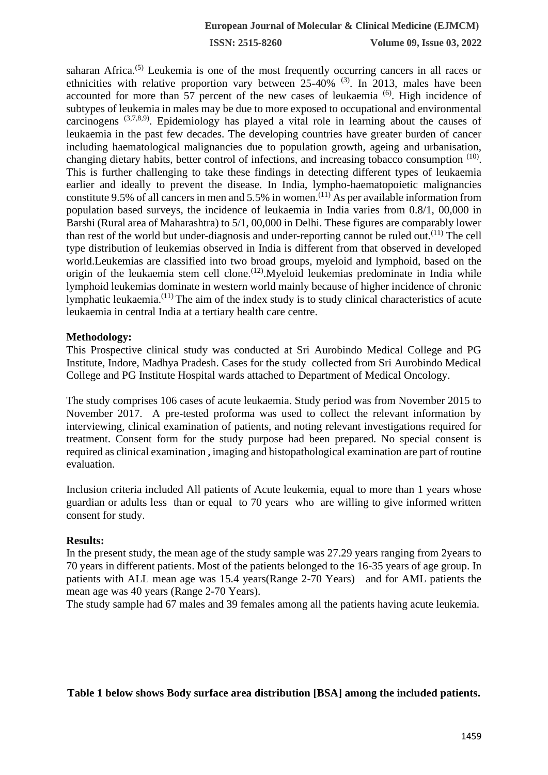**ISSN: 2515-8260 Volume 09, Issue 03, 2022**

saharan Africa.<sup>(5)</sup> Leukemia is one of the most frequently occurring cancers in all races or ethnicities with relative proportion vary between  $25-40\%$  (3). In 2013, males have been accounted for more than 57 percent of the new cases of leukaemia  $^{(6)}$ . High incidence of subtypes of leukemia in males may be due to more exposed to occupational and environmental carcinogens  $(3,7,8,9)$ . Epidemiology has played a vital role in learning about the causes of leukaemia in the past few decades. The developing countries have greater burden of cancer including haematological malignancies due to population growth, ageing and urbanisation, changing dietary habits, better control of infections, and increasing tobacco consumption <sup>(10)</sup>. This is further challenging to take these findings in detecting different types of leukaemia earlier and ideally to prevent the disease. In India, lympho-haematopoietic malignancies constitute 9.5% of all cancers in men and 5.5% in women.(11) As per available information from population based surveys, the incidence of leukaemia in India varies from 0.8/1, 00,000 in Barshi (Rural area of Maharashtra) to 5/1, 00,000 in Delhi. These figures are comparably lower than rest of the world but under-diagnosis and under-reporting cannot be ruled out.<sup> $(11)$ </sup> The cell type distribution of leukemias observed in India is different from that observed in developed world.Leukemias are classified into two broad groups, myeloid and lymphoid, based on the origin of the leukaemia stem cell clone.<sup>(12)</sup>.Myeloid leukemias predominate in India while lymphoid leukemias dominate in western world mainly because of higher incidence of chronic lymphatic leukaemia.(11) The aim of the index study is to study clinical characteristics of acute leukaemia in central India at a tertiary health care centre.

#### **Methodology:**

This Prospective clinical study was conducted at Sri Aurobindo Medical College and PG Institute, Indore, Madhya Pradesh. Cases for the study collected from Sri Aurobindo Medical College and PG Institute Hospital wards attached to Department of Medical Oncology.

The study comprises 106 cases of acute leukaemia. Study period was from November 2015 to November 2017. A pre-tested proforma was used to collect the relevant information by interviewing, clinical examination of patients, and noting relevant investigations required for treatment. Consent form for the study purpose had been prepared. No special consent is required as clinical examination , imaging and histopathological examination are part of routine evaluation.

Inclusion criteria included All patients of Acute leukemia, equal to more than 1 years whose guardian or adults less than or equal to 70 years who are willing to give informed written consent for study.

#### **Results:**

In the present study, the mean age of the study sample was 27.29 years ranging from 2years to 70 years in different patients. Most of the patients belonged to the 16-35 years of age group. In patients with ALL mean age was 15.4 years(Range 2-70 Years) and for AML patients the mean age was 40 years (Range 2-70 Years).

The study sample had 67 males and 39 females among all the patients having acute leukemia.

#### **Table 1 below shows Body surface area distribution [BSA] among the included patients.**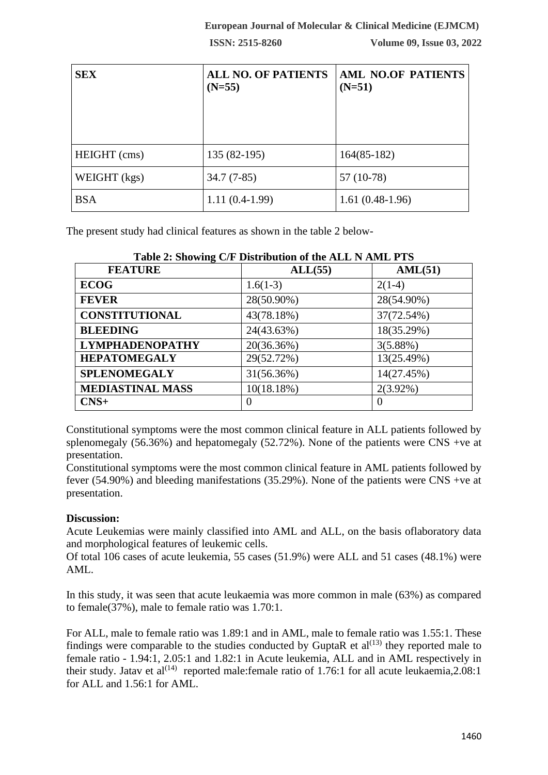**ISSN: 2515-8260 Volume 09, Issue 03, 2022**

| <b>SEX</b>   | <b>ALL NO. OF PATIENTS</b><br>$(N=55)$ | <b>AML NO.OF PATIENTS</b><br>$(N=51)$ |
|--------------|----------------------------------------|---------------------------------------|
| HEIGHT (cms) | $135(82-195)$                          | $164(85-182)$                         |
| WEIGHT (kgs) | $34.7(7-85)$                           | 57 (10-78)                            |
| <b>BSA</b>   | $1.11(0.4-1.99)$                       | $1.61(0.48-1.96)$                     |

The present study had clinical features as shown in the table 2 below-

| <b>FEATURE</b>          | Table 2. Dhowing Oil Distribution of the Hill Is Highly I to<br>ALL(55) | AML(51)     |
|-------------------------|-------------------------------------------------------------------------|-------------|
| <b>ECOG</b>             | $1.6(1-3)$                                                              | $2(1-4)$    |
| <b>FEVER</b>            | 28(50.90%)                                                              | 28(54.90%)  |
| <b>CONSTITUTIONAL</b>   | 43(78.18%)                                                              | 37(72.54%)  |
| <b>BLEEDING</b>         | 24(43.63%)                                                              | 18(35.29%)  |
| <b>LYMPHADENOPATHY</b>  | 20(36.36%)                                                              | 3(5.88%)    |
| <b>HEPATOMEGALY</b>     | 29(52.72%)                                                              | 13(25.49%)  |
| <b>SPLENOMEGALY</b>     | 31(56.36%)                                                              | 14(27.45%)  |
| <b>MEDIASTINAL MASS</b> | 10(18.18%)                                                              | $2(3.92\%)$ |
| $CNS+$                  | $\theta$                                                                | $\theta$    |

**Table 2: Showing C/F Distribution of the ALL N AML PTS**

Constitutional symptoms were the most common clinical feature in ALL patients followed by splenomegaly (56.36%) and hepatomegaly (52.72%). None of the patients were CNS +ve at presentation.

Constitutional symptoms were the most common clinical feature in AML patients followed by fever (54.90%) and bleeding manifestations (35.29%). None of the patients were CNS +ve at presentation.

## **Discussion:**

Acute Leukemias were mainly classified into AML and ALL, on the basis oflaboratory data and morphological features of leukemic cells.

Of total 106 cases of acute leukemia, 55 cases (51.9%) were ALL and 51 cases (48.1%) were AML.

In this study, it was seen that acute leukaemia was more common in male (63%) as compared to female(37%), male to female ratio was 1.70:1.

For ALL, male to female ratio was 1.89:1 and in AML, male to female ratio was 1.55:1. These findings were comparable to the studies conducted by GuptaR et  $al^{(13)}$  they reported male to female ratio - 1.94:1, 2.05:1 and 1.82:1 in Acute leukemia, ALL and in AML respectively in their study. Jatav et al<sup>(14)</sup> reported male:female ratio of 1.76:1 for all acute leukaemia, 2.08:1 for ALL and 1.56:1 for AML.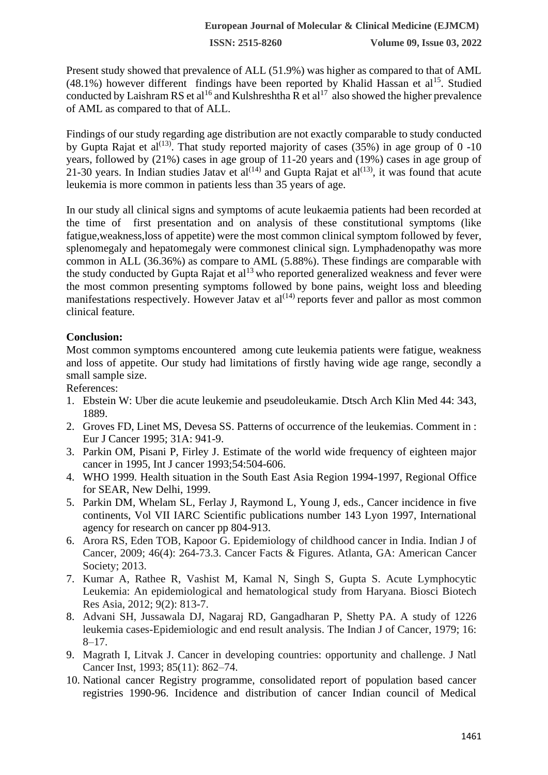Present study showed that prevalence of ALL (51.9%) was higher as compared to that of AML  $(48.1\%)$  however different findings have been reported by Khalid Hassan et al<sup>15</sup>. Studied conducted by Laishram RS et al<sup>16</sup> and Kulshreshtha R et al<sup>17</sup> also showed the higher prevalence of AML as compared to that of ALL.

Findings of our study regarding age distribution are not exactly comparable to study conducted by Gupta Rajat et al<sup>(13)</sup>. That study reported majority of cases (35%) in age group of 0 -10 years, followed by (21%) cases in age group of 11-20 years and (19%) cases in age group of 21-30 years. In Indian studies Jatav et al<sup>(14)</sup> and Gupta Rajat et al<sup>(13)</sup>, it was found that acute leukemia is more common in patients less than 35 years of age.

In our study all clinical signs and symptoms of acute leukaemia patients had been recorded at the time of first presentation and on analysis of these constitutional symptoms (like fatigue,weakness,loss of appetite) were the most common clinical symptom followed by fever, splenomegaly and hepatomegaly were commonest clinical sign. Lymphadenopathy was more common in ALL (36.36%) as compare to AML (5.88%). These findings are comparable with the study conducted by Gupta Rajat et al<sup>13</sup> who reported generalized weakness and fever were the most common presenting symptoms followed by bone pains, weight loss and bleeding manifestations respectively. However Jatav et  $al^{(14)}$  reports fever and pallor as most common clinical feature.

## **Conclusion:**

Most common symptoms encountered among cute leukemia patients were fatigue, weakness and loss of appetite. Our study had limitations of firstly having wide age range, secondly a small sample size.

References:

- 1. Ebstein W: Uber die acute leukemie and pseudoleukamie. Dtsch Arch Klin Med 44: 343, 1889.
- 2. Groves FD, Linet MS, Devesa SS. Patterns of occurrence of the leukemias. Comment in : Eur J Cancer 1995; 31A: 941-9.
- 3. Parkin OM, Pisani P, Firley J. Estimate of the world wide frequency of eighteen major cancer in 1995, Int J cancer 1993;54:504-606.
- 4. WHO 1999. Health situation in the South East Asia Region 1994-1997, Regional Office for SEAR, New Delhi, 1999.
- 5. Parkin DM, Whelam SL, Ferlay J, Raymond L, Young J, eds., Cancer incidence in five continents, Vol VII IARC Scientific publications number 143 Lyon 1997, International agency for research on cancer pp 804-913.
- 6. Arora RS, Eden TOB, Kapoor G. Epidemiology of childhood cancer in India. Indian J of Cancer, 2009; 46(4): 264-73.3. Cancer Facts & Figures. Atlanta, GA: American Cancer Society; 2013.
- 7. Kumar A, Rathee R, Vashist M, Kamal N, Singh S, Gupta S. Acute Lymphocytic Leukemia: An epidemiological and hematological study from Haryana. Biosci Biotech Res Asia, 2012; 9(2): 813-7.
- 8. Advani SH, Jussawala DJ, Nagaraj RD, Gangadharan P, Shetty PA. A study of 1226 leukemia cases-Epidemiologic and end result analysis. The Indian J of Cancer, 1979; 16:  $8 - 17$ .
- 9. Magrath I, Litvak J. Cancer in developing countries: opportunity and challenge. J Natl Cancer Inst, 1993; 85(11): 862–74.
- 10. National cancer Registry programme, consolidated report of population based cancer registries 1990-96. Incidence and distribution of cancer Indian council of Medical